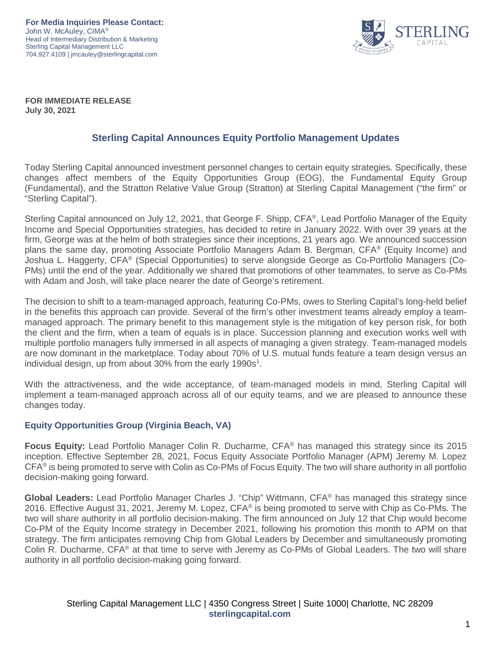**For Media Inquiries Please Contact:** John W. McAuley, CIMA® Head of Intermediary Distribution & Marketing Sterling Capital Management LLC 704.927.4109 | jmcauley@sterlingcapital.com



**FOR IMMEDIATE RELEASE July 30, 2021**

#### **Sterling Capital Announces Equity Portfolio Management Updates**

Today Sterling Capital announced investment personnel changes to certain equity strategies. Specifically, these changes affect members of the Equity Opportunities Group (EOG), the Fundamental Equity Group (Fundamental), and the Stratton Relative Value Group (Stratton) at Sterling Capital Management ("the firm" or "Sterling Capital").

Sterling Capital announced on July 12, 2021, that George F. Shipp, CFA®, Lead Portfolio Manager of the Equity Income and Special Opportunities strategies, has decided to retire in January 2022. With over 39 years at the firm, George was at the helm of both strategies since their inceptions, 21 years ago. We announced succession plans the same day, promoting Associate Portfolio Managers Adam B. Bergman, CFA® (Equity Income) and Joshua L. Haggerty, CFA® (Special Opportunities) to serve alongside George as Co-Portfolio Managers (Co-PMs) until the end of the year. Additionally we shared that promotions of other teammates, to serve as Co-PMs with Adam and Josh, will take place nearer the date of George's retirement.

The decision to shift to a team-managed approach, featuring Co-PMs, owes to Sterling Capital's long-held belief in the benefits this approach can provide. Several of the firm's other investment teams already employ a teammanaged approach. The primary benefit to this management style is the mitigation of key person risk, for both the client and the firm, when a team of equals is in place. Succession planning and execution works well with multiple portfolio managers fully immersed in all aspects of managing a given strategy. Team-managed models are now dominant in the marketplace. Today about 70% of U.S. mutual funds feature a team design versus an individual design, up from about 30% from the early 1990s<sup>1</sup>.

With the attractiveness, and the wide acceptance, of team-managed models in mind, Sterling Capital will implement a team-managed approach across all of our equity teams, and we are pleased to announce these changes today.

#### **Equity Opportunities Group (Virginia Beach, VA)**

**Focus Equity:** Lead Portfolio Manager Colin R. Ducharme, CFA® has managed this strategy since its 2015 inception. Effective September 28, 2021, Focus Equity Associate Portfolio Manager (APM) Jeremy M. Lopez CFA® is being promoted to serve with Colin as Co-PMs of Focus Equity. The two will share authority in all portfolio decision-making going forward.

**Global Leaders:** Lead Portfolio Manager Charles J. "Chip" Wittmann, CFA® has managed this strategy since 2016. Effective August 31, 2021, Jeremy M. Lopez,  $CFA^{\circledast}$  is being promoted to serve with Chip as Co-PMs. The two will share authority in all portfolio decision-making. The firm announced on July 12 that Chip would become Co-PM of the Equity Income strategy in December 2021, following his promotion this month to APM on that strategy. The firm anticipates removing Chip from Global Leaders by December and simultaneously promoting Colin R. Ducharme, CFA® at that time to serve with Jeremy as Co-PMs of Global Leaders. The two will share authority in all portfolio decision-making going forward.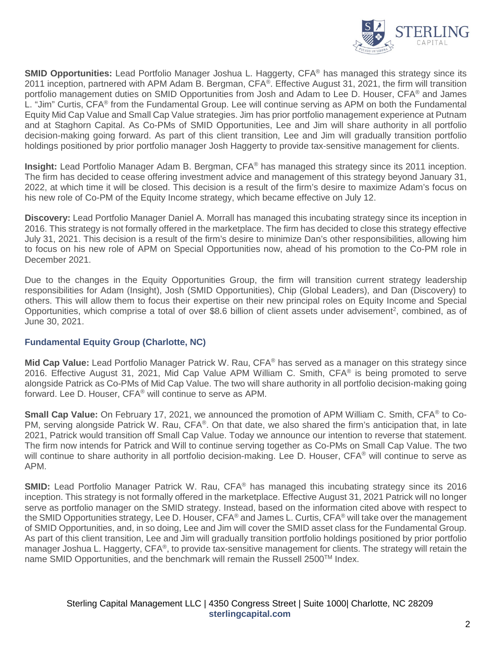

**SMID Opportunities:** Lead Portfolio Manager Joshua L. Haggerty, CFA® has managed this strategy since its 2011 inception, partnered with APM Adam B. Bergman, CFA®. Effective August 31, 2021, the firm will transition portfolio management duties on SMID Opportunities from Josh and Adam to Lee D. Houser, CFA® and James L. "Jim" Curtis, CFA® from the Fundamental Group. Lee will continue serving as APM on both the Fundamental Equity Mid Cap Value and Small Cap Value strategies. Jim has prior portfolio management experience at Putnam and at Staghorn Capital. As Co-PMs of SMID Opportunities, Lee and Jim will share authority in all portfolio decision-making going forward. As part of this client transition, Lee and Jim will gradually transition portfolio holdings positioned by prior portfolio manager Josh Haggerty to provide tax-sensitive management for clients.

**Insight:** Lead Portfolio Manager Adam B. Bergman, CFA® has managed this strategy since its 2011 inception. The firm has decided to cease offering investment advice and management of this strategy beyond January 31, 2022, at which time it will be closed. This decision is a result of the firm's desire to maximize Adam's focus on his new role of Co-PM of the Equity Income strategy, which became effective on July 12.

**Discovery:** Lead Portfolio Manager Daniel A. Morrall has managed this incubating strategy since its inception in 2016. This strategy is not formally offered in the marketplace. The firm has decided to close this strategy effective July 31, 2021. This decision is a result of the firm's desire to minimize Dan's other responsibilities, allowing him to focus on his new role of APM on Special Opportunities now, ahead of his promotion to the Co-PM role in December 2021.

Due to the changes in the Equity Opportunities Group, the firm will transition current strategy leadership responsibilities for Adam (Insight), Josh (SMID Opportunities), Chip (Global Leaders), and Dan (Discovery) to others. This will allow them to focus their expertise on their new principal roles on Equity Income and Special Opportunities, which comprise a total of over \$8.6 billion of client assets under advisement<sup>2</sup>, combined, as of June 30, 2021.

#### **Fundamental Equity Group (Charlotte, NC)**

**Mid Cap Value:** Lead Portfolio Manager Patrick W. Rau, CFA® has served as a manager on this strategy since 2016. Effective August 31, 2021, Mid Cap Value APM William C. Smith, CFA® is being promoted to serve alongside Patrick as Co-PMs of Mid Cap Value. The two will share authority in all portfolio decision-making going forward. Lee D. Houser, CFA® will continue to serve as APM.

**Small Cap Value:** On February 17, 2021, we announced the promotion of APM William C. Smith, CFA® to Co-PM, serving alongside Patrick W. Rau, CFA®. On that date, we also shared the firm's anticipation that, in late 2021, Patrick would transition off Small Cap Value. Today we announce our intention to reverse that statement. The firm now intends for Patrick and Will to continue serving together as Co-PMs on Small Cap Value. The two will continue to share authority in all portfolio decision-making. Lee D. Houser, CFA<sup>®</sup> will continue to serve as APM.

**SMID:** Lead Portfolio Manager Patrick W. Rau, CFA<sup>®</sup> has managed this incubating strategy since its 2016 inception. This strategy is not formally offered in the marketplace. Effective August 31, 2021 Patrick will no longer serve as portfolio manager on the SMID strategy. Instead, based on the information cited above with respect to the SMID Opportunities strategy, Lee D. Houser, CFA® and James L. Curtis, CFA® will take over the management of SMID Opportunities, and, in so doing, Lee and Jim will cover the SMID asset class for the Fundamental Group. As part of this client transition, Lee and Jim will gradually transition portfolio holdings positioned by prior portfolio manager Joshua L. Haggerty, CFA<sup>®</sup>, to provide tax-sensitive management for clients. The strategy will retain the name SMID Opportunities, and the benchmark will remain the Russell 2500™ Index.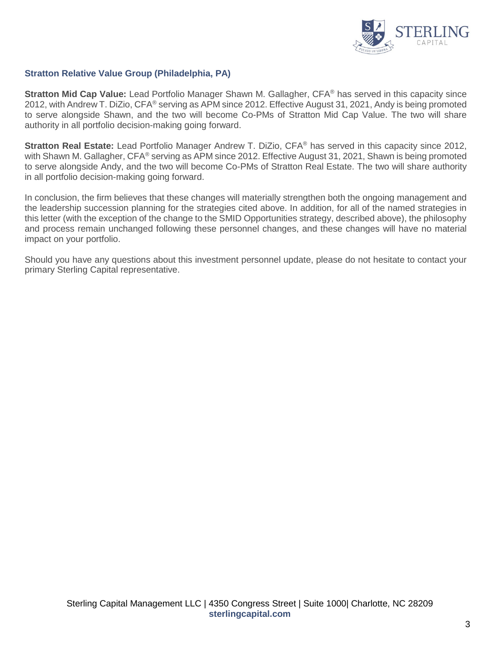

#### **Stratton Relative Value Group (Philadelphia, PA)**

**Stratton Mid Cap Value:** Lead Portfolio Manager Shawn M. Gallagher, CFA® has served in this capacity since 2012, with Andrew T. DiZio, CFA® serving as APM since 2012. Effective August 31, 2021, Andy is being promoted to serve alongside Shawn, and the two will become Co-PMs of Stratton Mid Cap Value. The two will share authority in all portfolio decision-making going forward.

**Stratton Real Estate:** Lead Portfolio Manager Andrew T. DiZio, CFA® has served in this capacity since 2012, with Shawn M. Gallagher, CFA® serving as APM since 2012. Effective August 31, 2021, Shawn is being promoted to serve alongside Andy, and the two will become Co-PMs of Stratton Real Estate. The two will share authority in all portfolio decision-making going forward.

In conclusion, the firm believes that these changes will materially strengthen both the ongoing management and the leadership succession planning for the strategies cited above. In addition, for all of the named strategies in this letter (with the exception of the change to the SMID Opportunities strategy, described above), the philosophy and process remain unchanged following these personnel changes, and these changes will have no material impact on your portfolio.

Should you have any questions about this investment personnel update, please do not hesitate to contact your primary Sterling Capital representative.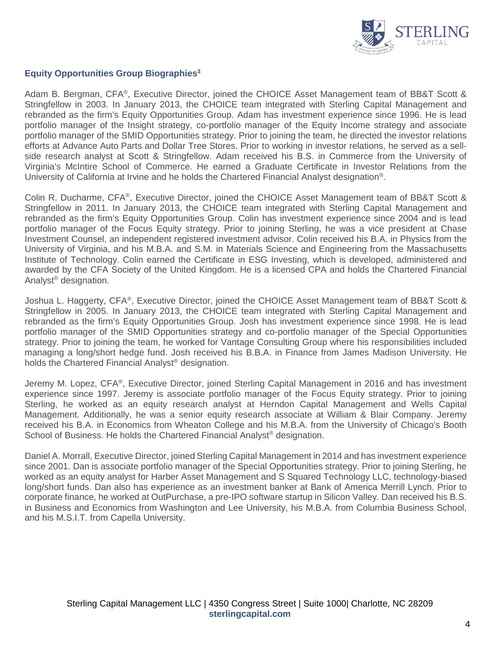

#### **Equity Opportunities Group Biographies3**

Adam B. Bergman, CFA®, Executive Director, joined the CHOICE Asset Management team of BB&T Scott & Stringfellow in 2003. In January 2013, the CHOICE team integrated with Sterling Capital Management and rebranded as the firm's Equity Opportunities Group. Adam has investment experience since 1996. He is lead portfolio manager of the Insight strategy, co-portfolio manager of the Equity Income strategy and associate portfolio manager of the SMID Opportunities strategy. Prior to joining the team, he directed the investor relations efforts at Advance Auto Parts and Dollar Tree Stores. Prior to working in investor relations, he served as a sellside research analyst at Scott & Stringfellow. Adam received his B.S. in Commerce from the University of Virginia's McIntire School of Commerce. He earned a Graduate Certificate in Investor Relations from the University of California at Irvine and he holds the Chartered Financial Analyst designation<sup>®</sup>.

Colin R. Ducharme, CFA®, Executive Director, joined the CHOICE Asset Management team of BB&T Scott & Stringfellow in 2011. In January 2013, the CHOICE team integrated with Sterling Capital Management and rebranded as the firm's Equity Opportunities Group. Colin has investment experience since 2004 and is lead portfolio manager of the Focus Equity strategy. Prior to joining Sterling, he was a vice president at Chase Investment Counsel, an independent registered investment advisor. Colin received his B.A. in Physics from the University of Virginia, and his M.B.A. and S.M. in Materials Science and Engineering from the Massachusetts Institute of Technology. Colin earned the Certificate in ESG Investing, which is developed, administered and awarded by the CFA Society of the United Kingdom. He is a licensed CPA and holds the Chartered Financial Analyst® designation.

Joshua L. Haggerty, CFA®, Executive Director, joined the CHOICE Asset Management team of BB&T Scott & Stringfellow in 2005. In January 2013, the CHOICE team integrated with Sterling Capital Management and rebranded as the firm's Equity Opportunities Group. Josh has investment experience since 1998. He is lead portfolio manager of the SMID Opportunities strategy and co-portfolio manager of the Special Opportunities strategy. Prior to joining the team, he worked for Vantage Consulting Group where his responsibilities included managing a long/short hedge fund. Josh received his B.B.A. in Finance from James Madison University. He holds the Chartered Financial Analyst® designation.

Jeremy M. Lopez, CFA®, Executive Director, joined Sterling Capital Management in 2016 and has investment experience since 1997. Jeremy is associate portfolio manager of the Focus Equity strategy. Prior to joining Sterling, he worked as an equity research analyst at Herndon Capital Management and Wells Capital Management. Additionally, he was a senior equity research associate at William & Blair Company. Jeremy received his B.A. in Economics from Wheaton College and his M.B.A. from the University of Chicago's Booth School of Business. He holds the Chartered Financial Analyst<sup>®</sup> designation.

Daniel A. Morrall, Executive Director, joined Sterling Capital Management in 2014 and has investment experience since 2001. Dan is associate portfolio manager of the Special Opportunities strategy. Prior to joining Sterling, he worked as an equity analyst for Harber Asset Management and S Squared Technology LLC, technology-biased long/short funds. Dan also has experience as an investment banker at Bank of America Merrill Lynch. Prior to corporate finance, he worked at OutPurchase, a pre-IPO software startup in Silicon Valley. Dan received his B.S. in Business and Economics from Washington and Lee University, his M.B.A. from Columbia Business School, and his M.S.I.T. from Capella University.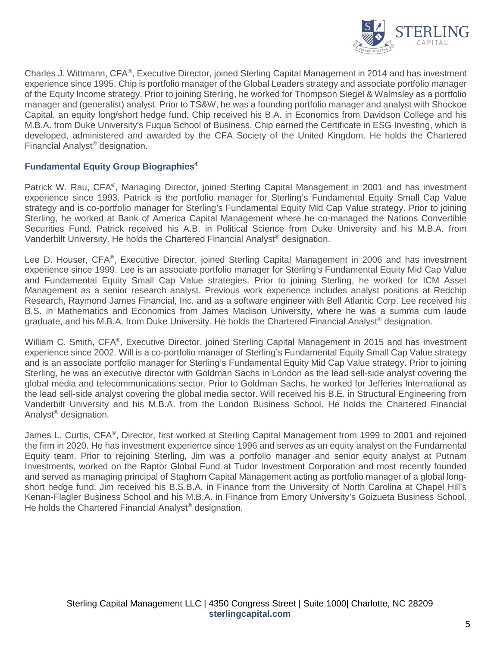

Charles J. Wittmann, CFA®, Executive Director, joined Sterling Capital Management in 2014 and has investment experience since 1995. Chip is portfolio manager of the Global Leaders strategy and associate portfolio manager of the Equity Income strategy. Prior to joining Sterling, he worked for Thompson Siegel & Walmsley as a portfolio manager and (generalist) analyst. Prior to TS&W, he was a founding portfolio manager and analyst with Shockoe Capital, an equity long/short hedge fund. Chip received his B.A. in Economics from Davidson College and his M.B.A. from Duke University's Fuqua School of Business. Chip earned the Certificate in ESG Investing, which is developed, administered and awarded by the CFA Society of the United Kingdom. He holds the Chartered Financial Analyst® designation.

#### **Fundamental Equity Group Biographies4**

Patrick W. Rau, CFA®, Managing Director, joined Sterling Capital Management in 2001 and has investment experience since 1993. Patrick is the portfolio manager for Sterling's Fundamental Equity Small Cap Value strategy and is co-portfolio manager for Sterling's Fundamental Equity Mid Cap Value strategy. Prior to joining Sterling, he worked at Bank of America Capital Management where he co-managed the Nations Convertible Securities Fund. Patrick received his A.B. in Political Science from Duke University and his M.B.A. from Vanderbilt University. He holds the Chartered Financial Analyst® designation.

Lee D. Houser, CFA®, Executive Director, joined Sterling Capital Management in 2006 and has investment experience since 1999. Lee is an associate portfolio manager for Sterling's Fundamental Equity Mid Cap Value and Fundamental Equity Small Cap Value strategies. Prior to joining Sterling, he worked for ICM Asset Management as a senior research analyst. Previous work experience includes analyst positions at Redchip Research, Raymond James Financial, Inc. and as a software engineer with Bell Atlantic Corp. Lee received his B.S. in Mathematics and Economics from James Madison University, where he was a summa cum laude graduate, and his M.B.A. from Duke University. He holds the Chartered Financial Analyst® designation.

William C. Smith, CFA®, Executive Director, joined Sterling Capital Management in 2015 and has investment experience since 2002. Will is a co-portfolio manager of Sterling's Fundamental Equity Small Cap Value strategy and is an associate portfolio manager for Sterling's Fundamental Equity Mid Cap Value strategy. Prior to joining Sterling, he was an executive director with Goldman Sachs in London as the lead sell-side analyst covering the global media and telecommunications sector. Prior to Goldman Sachs, he worked for Jefferies International as the lead sell-side analyst covering the global media sector. Will received his B.E. in Structural Engineering from Vanderbilt University and his M.B.A. from the London Business School. He holds the Chartered Financial Analyst® designation.

James L. Curtis, CFA®, Director, first worked at Sterling Capital Management from 1999 to 2001 and rejoined the firm in 2020. He has investment experience since 1996 and serves as an equity analyst on the Fundamental Equity team. Prior to rejoining Sterling, Jim was a portfolio manager and senior equity analyst at Putnam Investments, worked on the Raptor Global Fund at Tudor Investment Corporation and most recently founded and served as managing principal of Staghorn Capital Management acting as portfolio manager of a global longshort hedge fund. Jim received his B.S.B.A. in Finance from the University of North Carolina at Chapel Hill's Kenan-Flagler Business School and his M.B.A. in Finance from Emory University's Goizueta Business School. He holds the Chartered Financial Analyst<sup>®</sup> designation.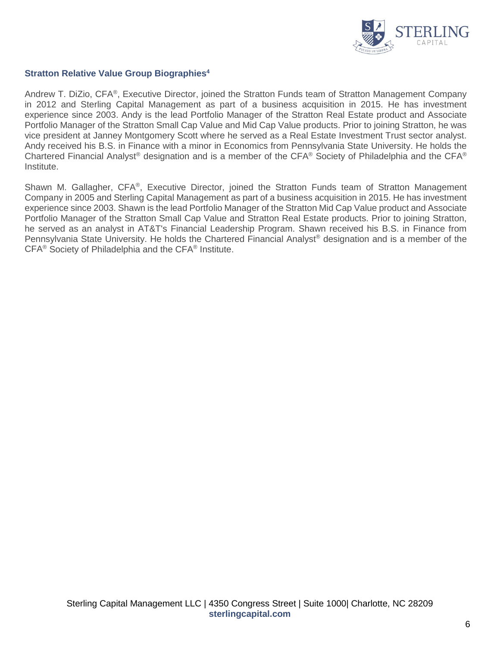

#### **Stratton Relative Value Group Biographies4**

Andrew T. DiZio, CFA®, Executive Director, joined the Stratton Funds team of Stratton Management Company in 2012 and Sterling Capital Management as part of a business acquisition in 2015. He has investment experience since 2003. Andy is the lead Portfolio Manager of the Stratton Real Estate product and Associate Portfolio Manager of the Stratton Small Cap Value and Mid Cap Value products. Prior to joining Stratton, he was vice president at Janney Montgomery Scott where he served as a Real Estate Investment Trust sector analyst. Andy received his B.S. in Finance with a minor in Economics from Pennsylvania State University. He holds the Chartered Financial Analyst® designation and is a member of the CFA® Society of Philadelphia and the CFA® Institute.

Shawn M. Gallagher, CFA®, Executive Director, joined the Stratton Funds team of Stratton Management Company in 2005 and Sterling Capital Management as part of a business acquisition in 2015. He has investment experience since 2003. Shawn is the lead Portfolio Manager of the Stratton Mid Cap Value product and Associate Portfolio Manager of the Stratton Small Cap Value and Stratton Real Estate products. Prior to joining Stratton, he served as an analyst in AT&T's Financial Leadership Program. Shawn received his B.S. in Finance from Pennsylvania State University. He holds the Chartered Financial Analyst® designation and is a member of the CFA® Society of Philadelphia and the CFA® Institute.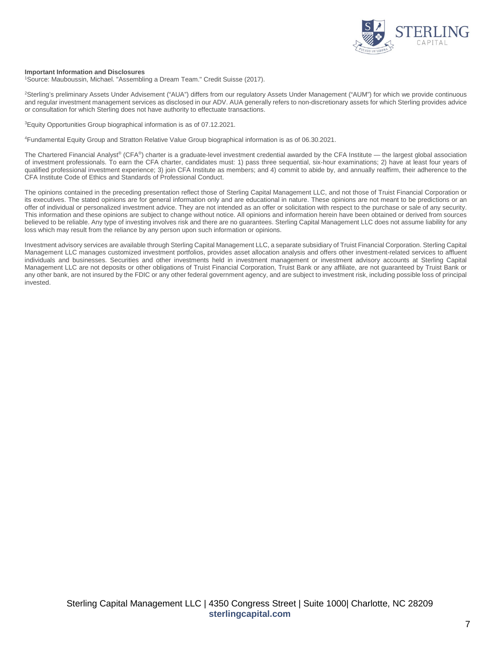

#### **Important Information and Disclosures**

<sup>1</sup>Source: Mauboussin, Michael. "Assembling a Dream Team." Credit Suisse (2017).

2 Sterling's preliminary Assets Under Advisement ("AUA") differs from our regulatory Assets Under Management ("AUM") for which we provide continuous and regular investment management services as disclosed in our ADV. AUA generally refers to non-discretionary assets for which Sterling provides advice or consultation for which Sterling does not have authority to effectuate transactions.

<sup>3</sup> Equity Opportunities Group biographical information is as of 07.12.2021.

4 Fundamental Equity Group and Stratton Relative Value Group biographical information is as of 06.30.2021.

The Chartered Financial Analyst® (CFA®) charter is a graduate-level investment credential awarded by the CFA Institute — the largest global association of investment professionals. To earn the CFA charter, candidates must: 1) pass three sequential, six-hour examinations; 2) have at least four years of qualified professional investment experience; 3) join CFA Institute as members; and 4) commit to abide by, and annually reaffirm, their adherence to the CFA Institute Code of Ethics and Standards of Professional Conduct.

The opinions contained in the preceding presentation reflect those of Sterling Capital Management LLC, and not those of Truist Financial Corporation or its executives. The stated opinions are for general information only and are educational in nature. These opinions are not meant to be predictions or an offer of individual or personalized investment advice. They are not intended as an offer or solicitation with respect to the purchase or sale of any security. This information and these opinions are subject to change without notice. All opinions and information herein have been obtained or derived from sources believed to be reliable. Any type of investing involves risk and there are no guarantees. Sterling Capital Management LLC does not assume liability for any loss which may result from the reliance by any person upon such information or opinions.

Investment advisory services are available through Sterling Capital Management LLC, a separate subsidiary of Truist Financial Corporation. Sterling Capital Management LLC manages customized investment portfolios, provides asset allocation analysis and offers other investment-related services to affluent individuals and businesses. Securities and other investments held in investment management or investment advisory accounts at Sterling Capital Management LLC are not deposits or other obligations of Truist Financial Corporation, Truist Bank or any affiliate, are not guaranteed by Truist Bank or any other bank, are not insured by the FDIC or any other federal government agency, and are subject to investment risk, including possible loss of principal invested.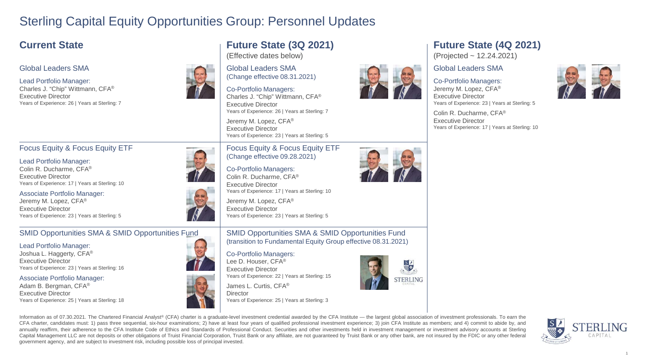## Sterling Capital Equity Opportunities Group: Personnel Updates

## **Current State Future State** (3Q 2021)

#### Global Leaders SMA

#### Lead Portfolio Manager:

Charles J. "Chip" Wittmann, CFA® Executive Director Years of Experience: 26 | Years at Sterling: 7

#### Focus Equity & Focus Equity ETF

Lead Portfolio Manager: Colin R. Ducharme, CFA® Executive Director Years of Experience: 17 | Years at Sterling: 10

Associate Portfolio Manager: Jeremy M. Lopez, CFA® Executive Director Years of Experience: 23 | Years at Sterling: 5

#### SMID Opportunities SMA & SMID Opportunities Fund

#### Lead Portfolio Manager:

Joshua L. Haggerty, CFA® Executive Director Years of Experience: 23 | Years at Sterling: 16

Associate Portfolio Manager:

#### Adam B. Bergman, CFA® Executive Director Years of Experience: 25 | Years at Sterling: 18

Years of Experience: 23 | Years at Sterling: 5 Focus Equity & Focus Equity ETF (Change effective 09.28.2021)

Co-Portfolio Managers: Colin R. Ducharme, CFA® Executive Director Years of Experience: 17 | Years at Sterling: 10

Jeremy M. Lopez, CFA® Executive Director Years of Experience: 23 | Years at Sterling: 5

SMID Opportunities SMA & SMID Opportunities Fund (transition to Fundamental Equity Group effective 08.31.2021)

#### Co-Portfolio Managers: Lee D. Houser, CFA®

Global Leaders SMA

(Effective dates below)

Co-Portfolio Managers:

Jeremy M. Lopez, CFA® Executive Director

Executive Director

(Change effective 08.31.2021)

Charles J. "Chip" Wittmann, CFA®

Years of Experience: 26 | Years at Sterling: 7

Executive Director Years of Experience: 22 | Years at Sterling: 15





# **FRI ING**



### **Future State (4Q 2021)**

(Projected ~ 12.24.2021)

#### Global Leaders SMA

#### Co-Portfolio Managers:

Jeremy M. Lopez, CFA® Executive Director Years of Experience: 23 | Years at Sterling: 5

Colin R. Ducharme, CFA® Executive Director Years of Experience: 17 | Years at Sterling: 10





**STERLING** 



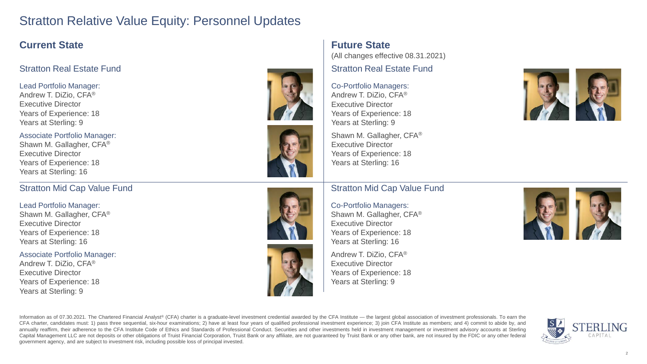## Stratton Relative Value Equity: Personnel Updates

## **Current State**

#### Stratton Real Estate Fund

Lead Portfolio Manager: Andrew T. DiZio, CFA® Executive Director Years of Experience: 18 Years at Sterling: 9

Associate Portfolio Manager: Shawn M. Gallagher, CFA® Executive Director Years of Experience: 18 Years at Sterling: 16

#### Stratton Mid Cap Value Fund

Lead Portfolio Manager: Shawn M. Gallagher, CFA® Executive Director Years of Experience: 18 Years at Sterling: 16

Associate Portfolio Manager: Andrew T. DiZio, CFA® Executive Director Years of Experience: 18 Years at Sterling: 9









## **Future State**

(All changes effective 08.31.2021)

Stratton Real Estate Fund

Co-Portfolio Managers: Andrew T. DiZio, CFA® Executive Director Years of Experience: 18 Years at Sterling: 9

Shawn M. Gallagher, CFA® Executive Director Years of Experience: 18 Years at Sterling: 16

#### Stratton Mid Cap Value Fund

Co-Portfolio Managers: Shawn M. Gallagher, CFA® Executive Director Years of Experience: 18 Years at Sterling: 16

Andrew T. DiZio, CFA® Executive Director Years of Experience: 18 Years at Sterling: 9





Information as of 07.30.2021. The Chartered Financial Analyst® (CFA) charter is a graduate-level investment credential awarded by the CFA Institute — the largest global association of investment professionals. To earn the CFA charter, candidates must: 1) pass three sequential, six-hour examinations; 2) have at least four years of qualified professional investment experience; 3) join CFA Institute as members; and 4) commit to abide by, and annually reaffirm, their adherence to the CFA Institute Code of Ethics and Standards of Professional Conduct. Securities and other investments held in investment management or investment advisory accounts at Sterling Capital Management LLC are not deposits or other obligations of Truist Financial Corporation. Truist Bank or any affiliate, are not guaranteed by Truist Bank or any other bank, are not insured by the FDIC or any other fede government agency, and are subject to investment risk, including possible loss of principal invested.